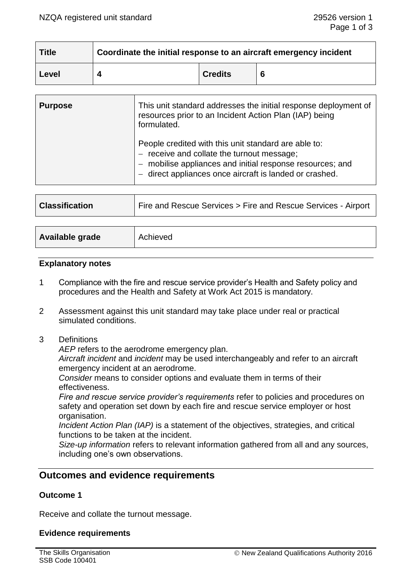| <b>Title</b> | Coordinate the initial response to an aircraft emergency incident |                |   |
|--------------|-------------------------------------------------------------------|----------------|---|
| Level        |                                                                   | <b>Credits</b> | 6 |

| <b>Purpose</b> | This unit standard addresses the initial response deployment of<br>resources prior to an Incident Action Plan (IAP) being<br>formulated.                                                                                 |  |
|----------------|--------------------------------------------------------------------------------------------------------------------------------------------------------------------------------------------------------------------------|--|
|                | People credited with this unit standard are able to:<br>receive and collate the turnout message;<br>- mobilise appliances and initial response resources; and<br>- direct appliances once aircraft is landed or crashed. |  |

| <b>Classification</b> | Fire and Rescue Services > Fire and Rescue Services - Airport |
|-----------------------|---------------------------------------------------------------|
|-----------------------|---------------------------------------------------------------|

| Available grade | Achieved |
|-----------------|----------|
|                 |          |

#### **Explanatory notes**

- 1 Compliance with the fire and rescue service provider's Health and Safety policy and procedures and the Health and Safety at Work Act 2015 is mandatory.
- 2 Assessment against this unit standard may take place under real or practical simulated conditions.
- 3 Definitions

*AEP* refers to the aerodrome emergency plan.

*Aircraft incident* and *incident* may be used interchangeably and refer to an aircraft emergency incident at an aerodrome.

*Consider* means to consider options and evaluate them in terms of their effectiveness.

*Fire and rescue service provider's requirements* refer to policies and procedures on safety and operation set down by each fire and rescue service employer or host organisation.

*Incident Action Plan (IAP)* is a statement of the objectives, strategies, and critical functions to be taken at the incident.

*Size-up information* refers to relevant information gathered from all and any sources, including one's own observations.

# **Outcomes and evidence requirements**

## **Outcome 1**

Receive and collate the turnout message.

## **Evidence requirements**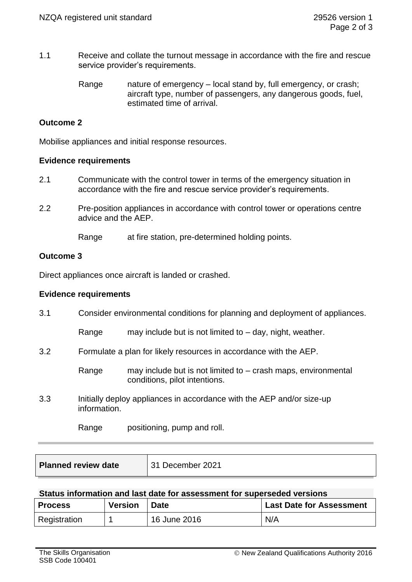- 1.1 Receive and collate the turnout message in accordance with the fire and rescue service provider's requirements.
	- Range nature of emergency local stand by, full emergency, or crash; aircraft type, number of passengers, any dangerous goods, fuel, estimated time of arrival.

## **Outcome 2**

Mobilise appliances and initial response resources.

#### **Evidence requirements**

- 2.1 Communicate with the control tower in terms of the emergency situation in accordance with the fire and rescue service provider's requirements.
- 2.2 Pre-position appliances in accordance with control tower or operations centre advice and the AEP.

Range at fire station, pre-determined holding points.

#### **Outcome 3**

Direct appliances once aircraft is landed or crashed.

#### **Evidence requirements**

| 3.1 |                                                                                       | Consider environmental conditions for planning and deployment of appliances.                     |  |  |
|-----|---------------------------------------------------------------------------------------|--------------------------------------------------------------------------------------------------|--|--|
|     | Range                                                                                 | may include but is not limited to $-$ day, night, weather.                                       |  |  |
| 3.2 | Formulate a plan for likely resources in accordance with the AEP.                     |                                                                                                  |  |  |
|     | Range                                                                                 | may include but is not limited to $-$ crash maps, environmental<br>conditions, pilot intentions. |  |  |
| 3.3 | Initially deploy appliances in accordance with the AEP and/or size-up<br>information. |                                                                                                  |  |  |
|     | Range                                                                                 | positioning, pump and roll.                                                                      |  |  |

| <b>Planned review date</b> | 31 December 2021 |
|----------------------------|------------------|
|----------------------------|------------------|

#### **Status information and last date for assessment for superseded versions**

| <b>Process</b> | <b>Version</b> | <b>Date</b>  | <b>Last Date for Assessment</b> |
|----------------|----------------|--------------|---------------------------------|
| Registration   |                | 16 June 2016 | N/A                             |